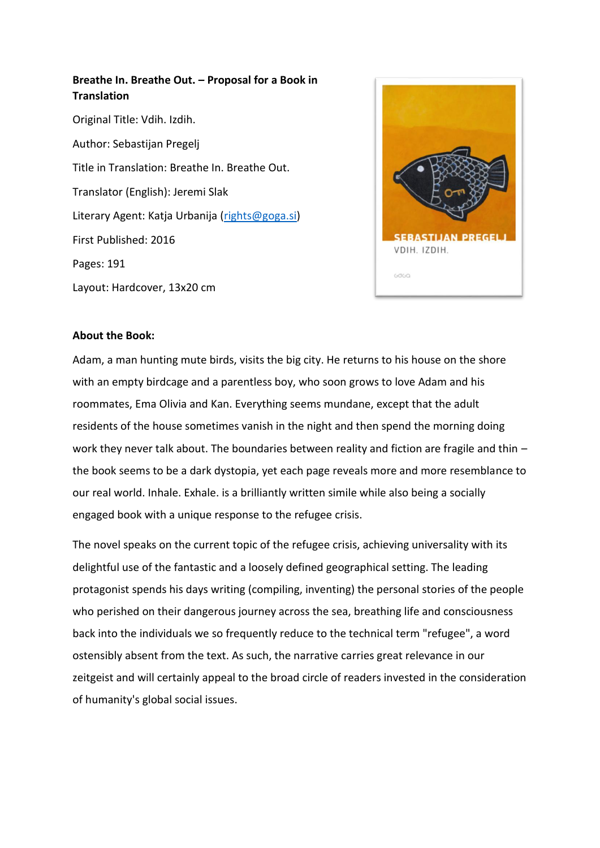# **Breathe In. Breathe Out. – Proposal for a Book in Translation** Original Title: Vdih. Izdih. Author: Sebastijan Pregelj Title in Translation: Breathe In. Breathe Out. Translator (English): Jeremi Slak Literary Agent: Katja Urbanija [\(rights@goga.si\)](mailto:rights@goga.si) First Published: 2016 Pages: 191 Layout: Hardcover, 13x20 cm



# **About the Book:**

Adam, a man hunting mute birds, visits the big city. He returns to his house on the shore with an empty birdcage and a parentless boy, who soon grows to love Adam and his roommates, Ema Olivia and Kan. Everything seems mundane, except that the adult residents of the house sometimes vanish in the night and then spend the morning doing work they never talk about. The boundaries between reality and fiction are fragile and thin the book seems to be a dark dystopia, yet each page reveals more and more resemblance to our real world. Inhale. Exhale. is a brilliantly written simile while also being a socially engaged book with a unique response to the refugee crisis.

The novel speaks on the current topic of the refugee crisis, achieving universality with its delightful use of the fantastic and a loosely defined geographical setting. The leading protagonist spends his days writing (compiling, inventing) the personal stories of the people who perished on their dangerous journey across the sea, breathing life and consciousness back into the individuals we so frequently reduce to the technical term "refugee", a word ostensibly absent from the text. As such, the narrative carries great relevance in our zeitgeist and will certainly appeal to the broad circle of readers invested in the consideration of humanity's global social issues.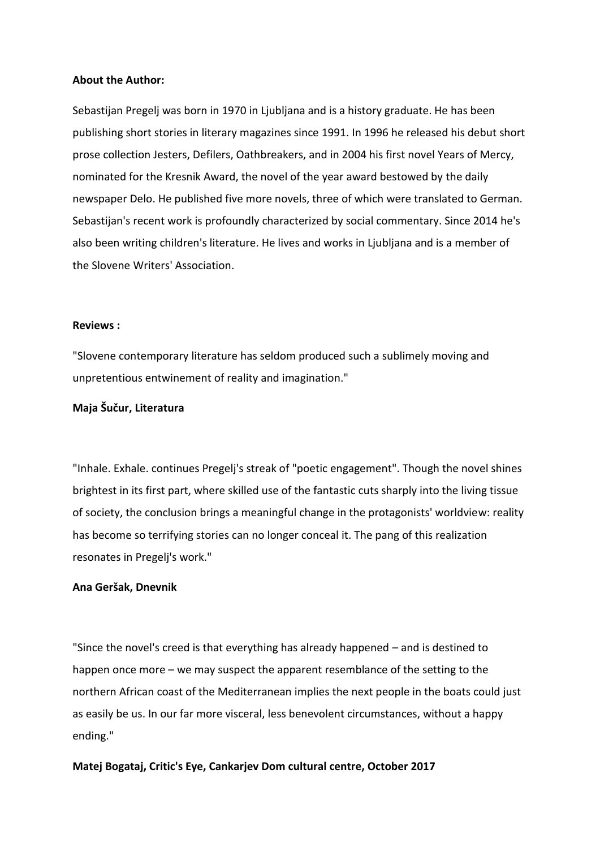# **About the Author:**

Sebastijan Pregelj was born in 1970 in Ljubljana and is a history graduate. He has been publishing short stories in literary magazines since 1991. In 1996 he released his debut short prose collection Jesters, Defilers, Oathbreakers, and in 2004 his first novel Years of Mercy, nominated for the Kresnik Award, the novel of the year award bestowed by the daily newspaper Delo. He published five more novels, three of which were translated to German. Sebastijan's recent work is profoundly characterized by social commentary. Since 2014 he's also been writing children's literature. He lives and works in Ljubljana and is a member of the Slovene Writers' Association.

# **Reviews :**

"Slovene contemporary literature has seldom produced such a sublimely moving and unpretentious entwinement of reality and imagination."

# **Maja Šučur, Literatura**

"Inhale. Exhale. continues Pregelj's streak of "poetic engagement". Though the novel shines brightest in its first part, where skilled use of the fantastic cuts sharply into the living tissue of society, the conclusion brings a meaningful change in the protagonists' worldview: reality has become so terrifying stories can no longer conceal it. The pang of this realization resonates in Pregelj's work."

### **Ana Geršak, Dnevnik**

"Since the novel's creed is that everything has already happened – and is destined to happen once more – we may suspect the apparent resemblance of the setting to the northern African coast of the Mediterranean implies the next people in the boats could just as easily be us. In our far more visceral, less benevolent circumstances, without a happy ending."

# **Matej Bogataj, Critic's Eye, Cankarjev Dom cultural centre, October 2017**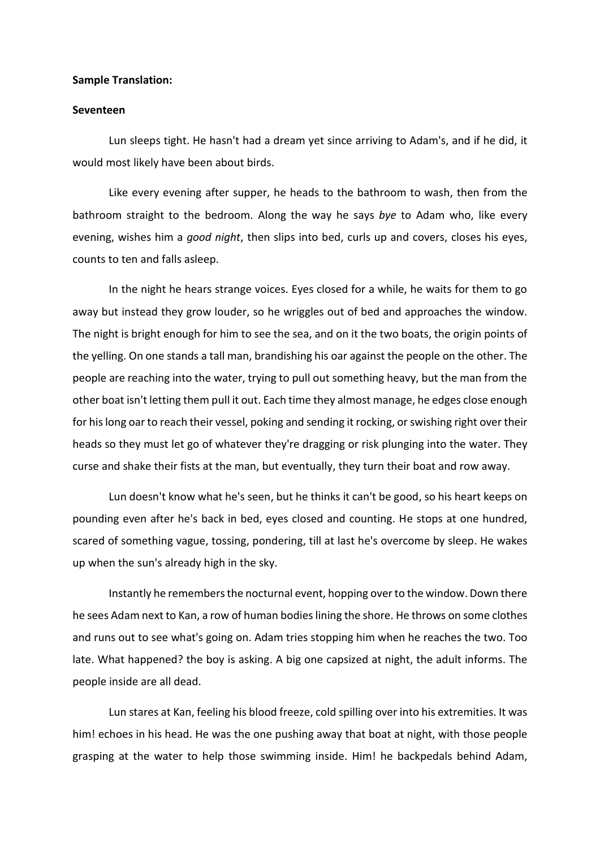### **Sample Translation:**

#### **Seventeen**

Lun sleeps tight. He hasn't had a dream yet since arriving to Adam's, and if he did, it would most likely have been about birds.

Like every evening after supper, he heads to the bathroom to wash, then from the bathroom straight to the bedroom. Along the way he says *bye* to Adam who, like every evening, wishes him a *good night*, then slips into bed, curls up and covers, closes his eyes, counts to ten and falls asleep.

In the night he hears strange voices. Eyes closed for a while, he waits for them to go away but instead they grow louder, so he wriggles out of bed and approaches the window. The night is bright enough for him to see the sea, and on it the two boats, the origin points of the yelling. On one stands a tall man, brandishing his oar against the people on the other. The people are reaching into the water, trying to pull out something heavy, but the man from the other boat isn't letting them pull it out. Each time they almost manage, he edges close enough for his long oar to reach their vessel, poking and sending it rocking, or swishing right over their heads so they must let go of whatever they're dragging or risk plunging into the water. They curse and shake their fists at the man, but eventually, they turn their boat and row away.

Lun doesn't know what he's seen, but he thinks it can't be good, so his heart keeps on pounding even after he's back in bed, eyes closed and counting. He stops at one hundred, scared of something vague, tossing, pondering, till at last he's overcome by sleep. He wakes up when the sun's already high in the sky.

Instantly he remembers the nocturnal event, hopping over to the window. Down there he sees Adam next to Kan, a row of human bodies lining the shore. He throws on some clothes and runs out to see what's going on. Adam tries stopping him when he reaches the two. Too late. What happened? the boy is asking. A big one capsized at night, the adult informs. The people inside are all dead.

Lun stares at Kan, feeling his blood freeze, cold spilling over into his extremities. It was him! echoes in his head. He was the one pushing away that boat at night, with those people grasping at the water to help those swimming inside. Him! he backpedals behind Adam,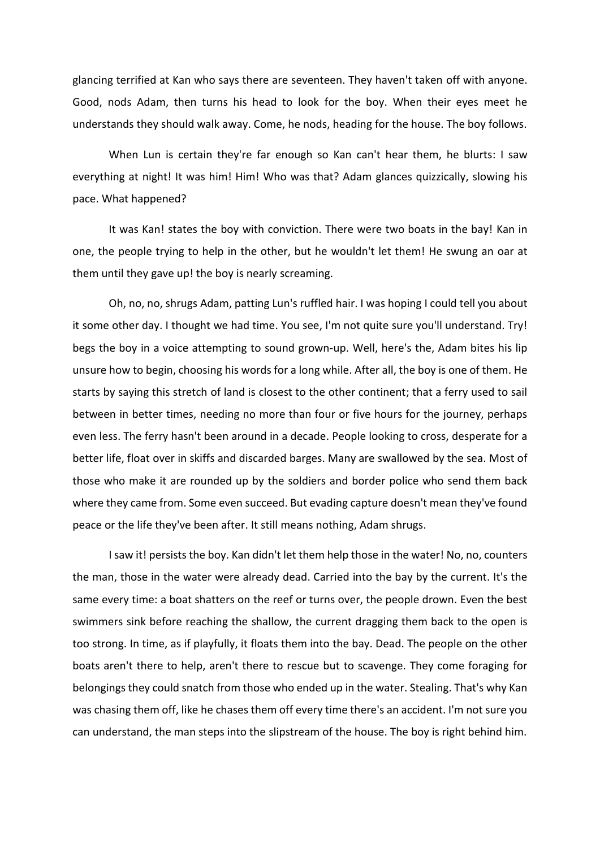glancing terrified at Kan who says there are seventeen. They haven't taken off with anyone. Good, nods Adam, then turns his head to look for the boy. When their eyes meet he understands they should walk away. Come, he nods, heading for the house. The boy follows.

When Lun is certain they're far enough so Kan can't hear them, he blurts: I saw everything at night! It was him! Him! Who was that? Adam glances quizzically, slowing his pace. What happened?

It was Kan! states the boy with conviction. There were two boats in the bay! Kan in one, the people trying to help in the other, but he wouldn't let them! He swung an oar at them until they gave up! the boy is nearly screaming.

Oh, no, no, shrugs Adam, patting Lun's ruffled hair. I was hoping I could tell you about it some other day. I thought we had time. You see, I'm not quite sure you'll understand. Try! begs the boy in a voice attempting to sound grown-up. Well, here's the, Adam bites his lip unsure how to begin, choosing his words for a long while. After all, the boy is one of them. He starts by saying this stretch of land is closest to the other continent; that a ferry used to sail between in better times, needing no more than four or five hours for the journey, perhaps even less. The ferry hasn't been around in a decade. People looking to cross, desperate for a better life, float over in skiffs and discarded barges. Many are swallowed by the sea. Most of those who make it are rounded up by the soldiers and border police who send them back where they came from. Some even succeed. But evading capture doesn't mean they've found peace or the life they've been after. It still means nothing, Adam shrugs.

I saw it! persists the boy. Kan didn't let them help those in the water! No, no, counters the man, those in the water were already dead. Carried into the bay by the current. It's the same every time: a boat shatters on the reef or turns over, the people drown. Even the best swimmers sink before reaching the shallow, the current dragging them back to the open is too strong. In time, as if playfully, it floats them into the bay. Dead. The people on the other boats aren't there to help, aren't there to rescue but to scavenge. They come foraging for belongings they could snatch from those who ended up in the water. Stealing. That's why Kan was chasing them off, like he chases them off every time there's an accident. I'm not sure you can understand, the man steps into the slipstream of the house. The boy is right behind him.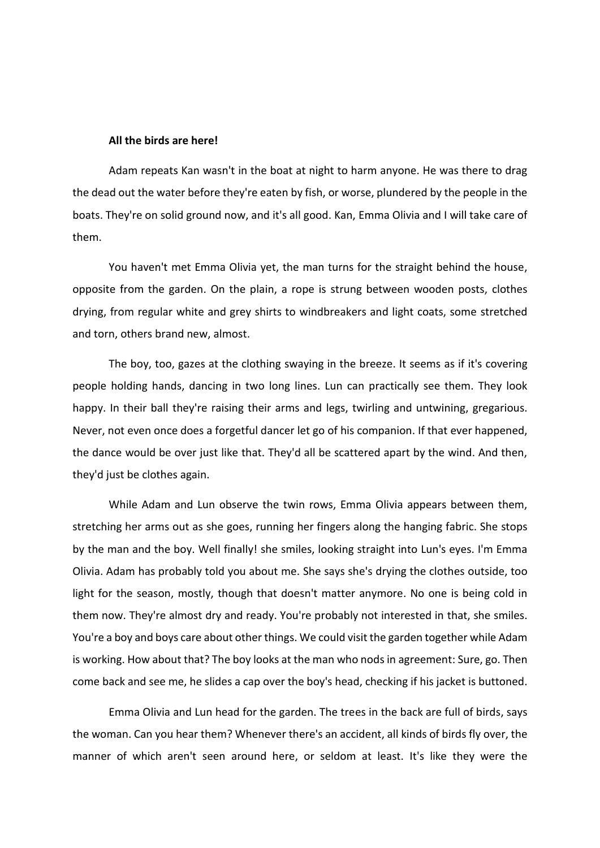## **All the birds are here!**

Adam repeats Kan wasn't in the boat at night to harm anyone. He was there to drag the dead out the water before they're eaten by fish, or worse, plundered by the people in the boats. They're on solid ground now, and it's all good. Kan, Emma Olivia and I will take care of them.

You haven't met Emma Olivia yet, the man turns for the straight behind the house, opposite from the garden. On the plain, a rope is strung between wooden posts, clothes drying, from regular white and grey shirts to windbreakers and light coats, some stretched and torn, others brand new, almost.

The boy, too, gazes at the clothing swaying in the breeze. It seems as if it's covering people holding hands, dancing in two long lines. Lun can practically see them. They look happy. In their ball they're raising their arms and legs, twirling and untwining, gregarious. Never, not even once does a forgetful dancer let go of his companion. If that ever happened, the dance would be over just like that. They'd all be scattered apart by the wind. And then, they'd just be clothes again.

While Adam and Lun observe the twin rows, Emma Olivia appears between them, stretching her arms out as she goes, running her fingers along the hanging fabric. She stops by the man and the boy. Well finally! she smiles, looking straight into Lun's eyes. I'm Emma Olivia. Adam has probably told you about me. She says she's drying the clothes outside, too light for the season, mostly, though that doesn't matter anymore. No one is being cold in them now. They're almost dry and ready. You're probably not interested in that, she smiles. You're a boy and boys care about other things. We could visit the garden together while Adam is working. How about that? The boy looks at the man who nods in agreement: Sure, go. Then come back and see me, he slides a cap over the boy's head, checking if his jacket is buttoned.

Emma Olivia and Lun head for the garden. The trees in the back are full of birds, says the woman. Can you hear them? Whenever there's an accident, all kinds of birds fly over, the manner of which aren't seen around here, or seldom at least. It's like they were the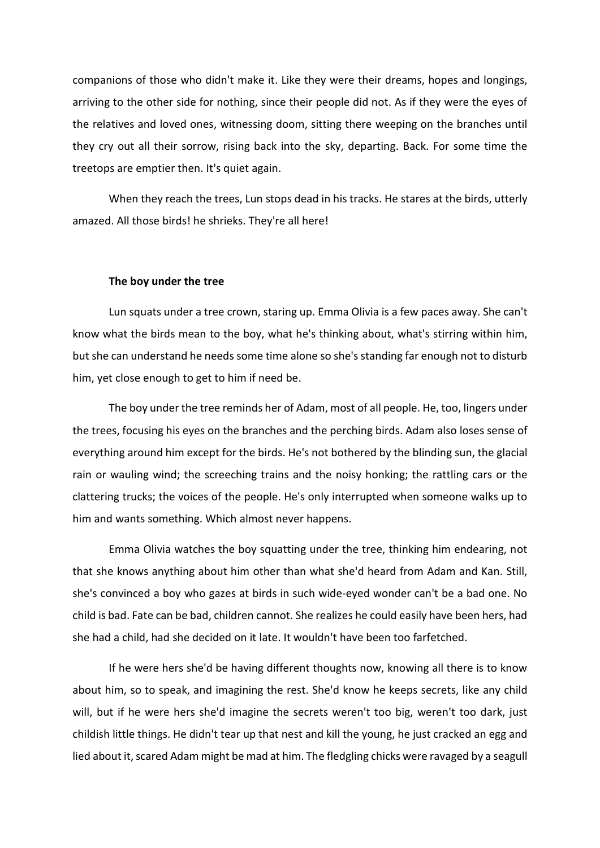companions of those who didn't make it. Like they were their dreams, hopes and longings, arriving to the other side for nothing, since their people did not. As if they were the eyes of the relatives and loved ones, witnessing doom, sitting there weeping on the branches until they cry out all their sorrow, rising back into the sky, departing. Back. For some time the treetops are emptier then. It's quiet again.

When they reach the trees, Lun stops dead in his tracks. He stares at the birds, utterly amazed. All those birds! he shrieks. They're all here!

#### **The boy under the tree**

Lun squats under a tree crown, staring up. Emma Olivia is a few paces away. She can't know what the birds mean to the boy, what he's thinking about, what's stirring within him, but she can understand he needs some time alone so she's standing far enough not to disturb him, yet close enough to get to him if need be.

The boy under the tree reminds her of Adam, most of all people. He, too, lingers under the trees, focusing his eyes on the branches and the perching birds. Adam also loses sense of everything around him except for the birds. He's not bothered by the blinding sun, the glacial rain or wauling wind; the screeching trains and the noisy honking; the rattling cars or the clattering trucks; the voices of the people. He's only interrupted when someone walks up to him and wants something. Which almost never happens.

Emma Olivia watches the boy squatting under the tree, thinking him endearing, not that she knows anything about him other than what she'd heard from Adam and Kan. Still, she's convinced a boy who gazes at birds in such wide-eyed wonder can't be a bad one. No child is bad. Fate can be bad, children cannot. She realizes he could easily have been hers, had she had a child, had she decided on it late. It wouldn't have been too farfetched.

If he were hers she'd be having different thoughts now, knowing all there is to know about him, so to speak, and imagining the rest. She'd know he keeps secrets, like any child will, but if he were hers she'd imagine the secrets weren't too big, weren't too dark, just childish little things. He didn't tear up that nest and kill the young, he just cracked an egg and lied about it, scared Adam might be mad at him. The fledgling chicks were ravaged by a seagull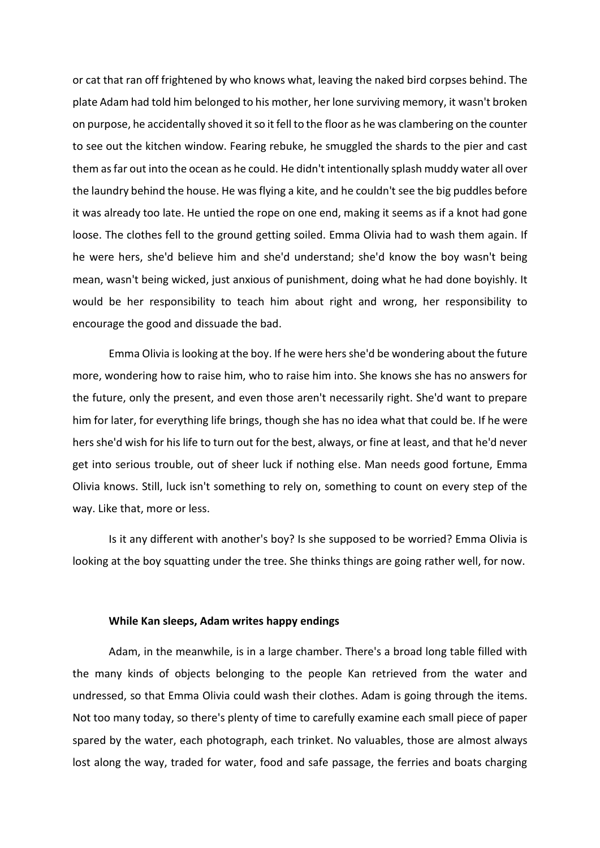or cat that ran off frightened by who knows what, leaving the naked bird corpses behind. The plate Adam had told him belonged to his mother, her lone surviving memory, it wasn't broken on purpose, he accidentally shoved it so it fell to the floor as he was clambering on the counter to see out the kitchen window. Fearing rebuke, he smuggled the shards to the pier and cast them as far out into the ocean as he could. He didn't intentionally splash muddy water all over the laundry behind the house. He was flying a kite, and he couldn't see the big puddles before it was already too late. He untied the rope on one end, making it seems as if a knot had gone loose. The clothes fell to the ground getting soiled. Emma Olivia had to wash them again. If he were hers, she'd believe him and she'd understand; she'd know the boy wasn't being mean, wasn't being wicked, just anxious of punishment, doing what he had done boyishly. It would be her responsibility to teach him about right and wrong, her responsibility to encourage the good and dissuade the bad.

Emma Olivia is looking at the boy. If he were hers she'd be wondering about the future more, wondering how to raise him, who to raise him into. She knows she has no answers for the future, only the present, and even those aren't necessarily right. She'd want to prepare him for later, for everything life brings, though she has no idea what that could be. If he were hers she'd wish for his life to turn out for the best, always, or fine at least, and that he'd never get into serious trouble, out of sheer luck if nothing else. Man needs good fortune, Emma Olivia knows. Still, luck isn't something to rely on, something to count on every step of the way. Like that, more or less.

Is it any different with another's boy? Is she supposed to be worried? Emma Olivia is looking at the boy squatting under the tree. She thinks things are going rather well, for now.

## **While Kan sleeps, Adam writes happy endings**

Adam, in the meanwhile, is in a large chamber. There's a broad long table filled with the many kinds of objects belonging to the people Kan retrieved from the water and undressed, so that Emma Olivia could wash their clothes. Adam is going through the items. Not too many today, so there's plenty of time to carefully examine each small piece of paper spared by the water, each photograph, each trinket. No valuables, those are almost always lost along the way, traded for water, food and safe passage, the ferries and boats charging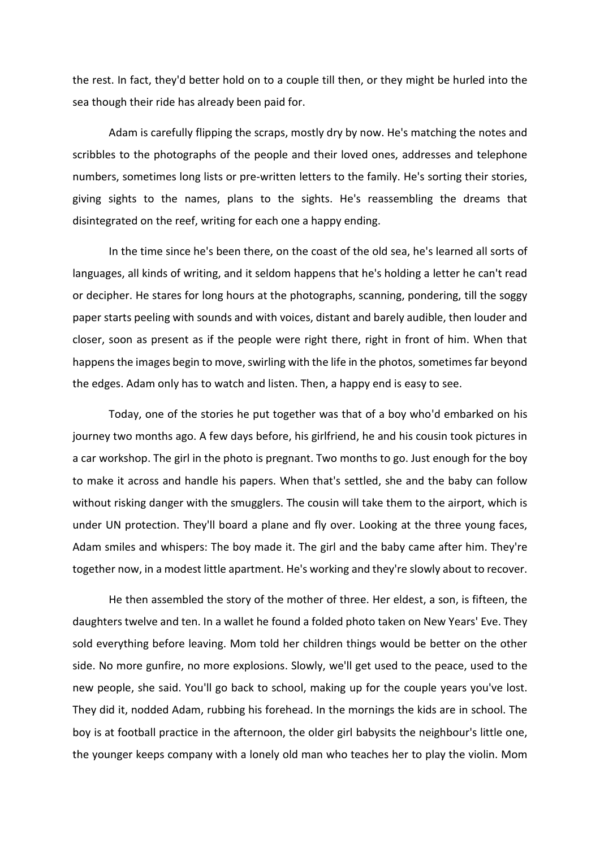the rest. In fact, they'd better hold on to a couple till then, or they might be hurled into the sea though their ride has already been paid for.

Adam is carefully flipping the scraps, mostly dry by now. He's matching the notes and scribbles to the photographs of the people and their loved ones, addresses and telephone numbers, sometimes long lists or pre-written letters to the family. He's sorting their stories, giving sights to the names, plans to the sights. He's reassembling the dreams that disintegrated on the reef, writing for each one a happy ending.

In the time since he's been there, on the coast of the old sea, he's learned all sorts of languages, all kinds of writing, and it seldom happens that he's holding a letter he can't read or decipher. He stares for long hours at the photographs, scanning, pondering, till the soggy paper starts peeling with sounds and with voices, distant and barely audible, then louder and closer, soon as present as if the people were right there, right in front of him. When that happens the images begin to move, swirling with the life in the photos, sometimes far beyond the edges. Adam only has to watch and listen. Then, a happy end is easy to see.

Today, one of the stories he put together was that of a boy who'd embarked on his journey two months ago. A few days before, his girlfriend, he and his cousin took pictures in a car workshop. The girl in the photo is pregnant. Two months to go. Just enough for the boy to make it across and handle his papers. When that's settled, she and the baby can follow without risking danger with the smugglers. The cousin will take them to the airport, which is under UN protection. They'll board a plane and fly over. Looking at the three young faces, Adam smiles and whispers: The boy made it. The girl and the baby came after him. They're together now, in a modest little apartment. He's working and they're slowly about to recover.

He then assembled the story of the mother of three. Her eldest, a son, is fifteen, the daughters twelve and ten. In a wallet he found a folded photo taken on New Years' Eve. They sold everything before leaving. Mom told her children things would be better on the other side. No more gunfire, no more explosions. Slowly, we'll get used to the peace, used to the new people, she said. You'll go back to school, making up for the couple years you've lost. They did it, nodded Adam, rubbing his forehead. In the mornings the kids are in school. The boy is at football practice in the afternoon, the older girl babysits the neighbour's little one, the younger keeps company with a lonely old man who teaches her to play the violin. Mom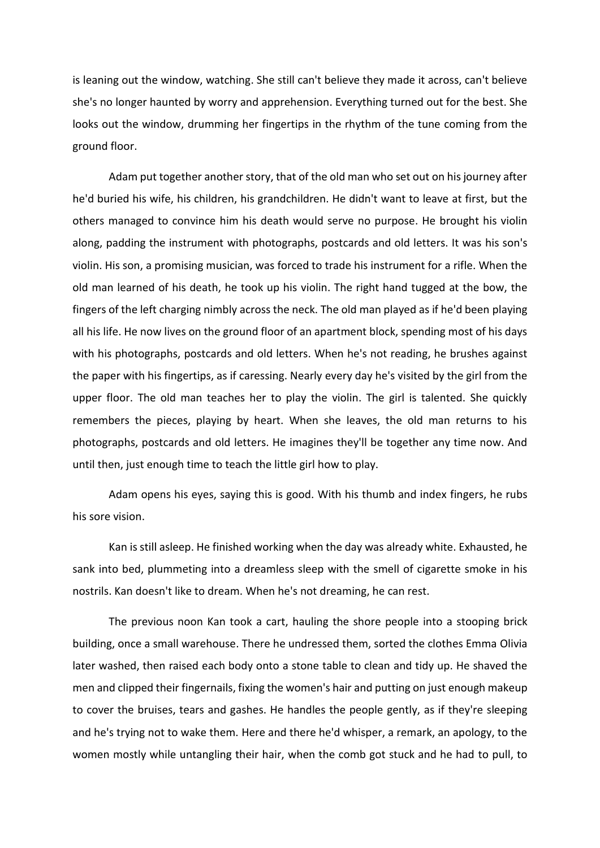is leaning out the window, watching. She still can't believe they made it across, can't believe she's no longer haunted by worry and apprehension. Everything turned out for the best. She looks out the window, drumming her fingertips in the rhythm of the tune coming from the ground floor.

Adam put together another story, that of the old man who set out on his journey after he'd buried his wife, his children, his grandchildren. He didn't want to leave at first, but the others managed to convince him his death would serve no purpose. He brought his violin along, padding the instrument with photographs, postcards and old letters. It was his son's violin. His son, a promising musician, was forced to trade his instrument for a rifle. When the old man learned of his death, he took up his violin. The right hand tugged at the bow, the fingers of the left charging nimbly across the neck. The old man played as if he'd been playing all his life. He now lives on the ground floor of an apartment block, spending most of his days with his photographs, postcards and old letters. When he's not reading, he brushes against the paper with his fingertips, as if caressing. Nearly every day he's visited by the girl from the upper floor. The old man teaches her to play the violin. The girl is talented. She quickly remembers the pieces, playing by heart. When she leaves, the old man returns to his photographs, postcards and old letters. He imagines they'll be together any time now. And until then, just enough time to teach the little girl how to play.

Adam opens his eyes, saying this is good. With his thumb and index fingers, he rubs his sore vision.

Kan is still asleep. He finished working when the day was already white. Exhausted, he sank into bed, plummeting into a dreamless sleep with the smell of cigarette smoke in his nostrils. Kan doesn't like to dream. When he's not dreaming, he can rest.

The previous noon Kan took a cart, hauling the shore people into a stooping brick building, once a small warehouse. There he undressed them, sorted the clothes Emma Olivia later washed, then raised each body onto a stone table to clean and tidy up. He shaved the men and clipped their fingernails, fixing the women's hair and putting on just enough makeup to cover the bruises, tears and gashes. He handles the people gently, as if they're sleeping and he's trying not to wake them. Here and there he'd whisper, a remark, an apology, to the women mostly while untangling their hair, when the comb got stuck and he had to pull, to